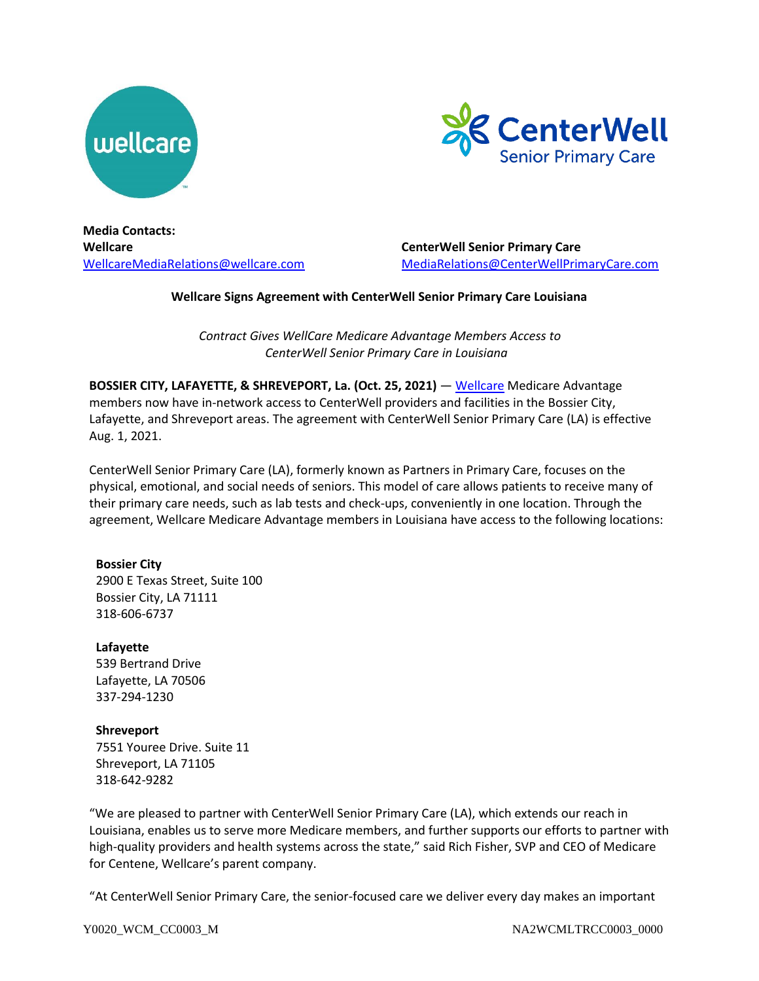



**Media Contacts: Wellcare** [WellcareMediaRelations@wellcare.com](mailto:WellcareMediaRelations@wellcare.com)

**CenterWell Senior Primary Care** [MediaRelations@CenterWellPrimaryCare.com](mailto:MediaRelations@CenterWellPrimaryCare.com)

## **Wellcare Signs Agreement with CenterWell Senior Primary Care Louisiana**

*Contract Gives WellCare Medicare Advantage Members Access to CenterWell Senior Primary Care in Louisiana*

**BOSSIER CITY, LAFAYETTE, & SHREVEPORT, La. (Oct. 25, 2021)** — [Wellcare](http://www.wellcare.com/) Medicare Advantage members now have in-network access to CenterWell providers and facilities in the Bossier City, Lafayette, and Shreveport areas. The agreement with CenterWell Senior Primary Care (LA) is effective Aug. 1, 2021.

CenterWell Senior Primary Care (LA), formerly known as Partners in Primary Care, focuses on the physical, emotional, and social needs of seniors. This model of care allows patients to receive many of their primary care needs, such as lab tests and check-ups, conveniently in one location. Through the agreement, Wellcare Medicare Advantage members in Louisiana have access to the following locations:

### **Bossier City**

2900 E Texas Street, Suite 100 Bossier City, LA 71111 318-606-6737

### **Lafayette**

539 Bertrand Drive Lafayette, LA 70506 337-294-1230

### **Shreveport**

7551 Youree Drive. Suite 11 Shreveport, LA 71105 318-642-9282

"We are pleased to partner with CenterWell Senior Primary Care (LA), which extends our reach in Louisiana, enables us to serve more Medicare members, and further supports our efforts to partner with high-quality providers and health systems across the state," said Rich Fisher, SVP and CEO of Medicare for Centene, Wellcare's parent company.

"At CenterWell Senior Primary Care, the senior-focused care we deliver every day makes an important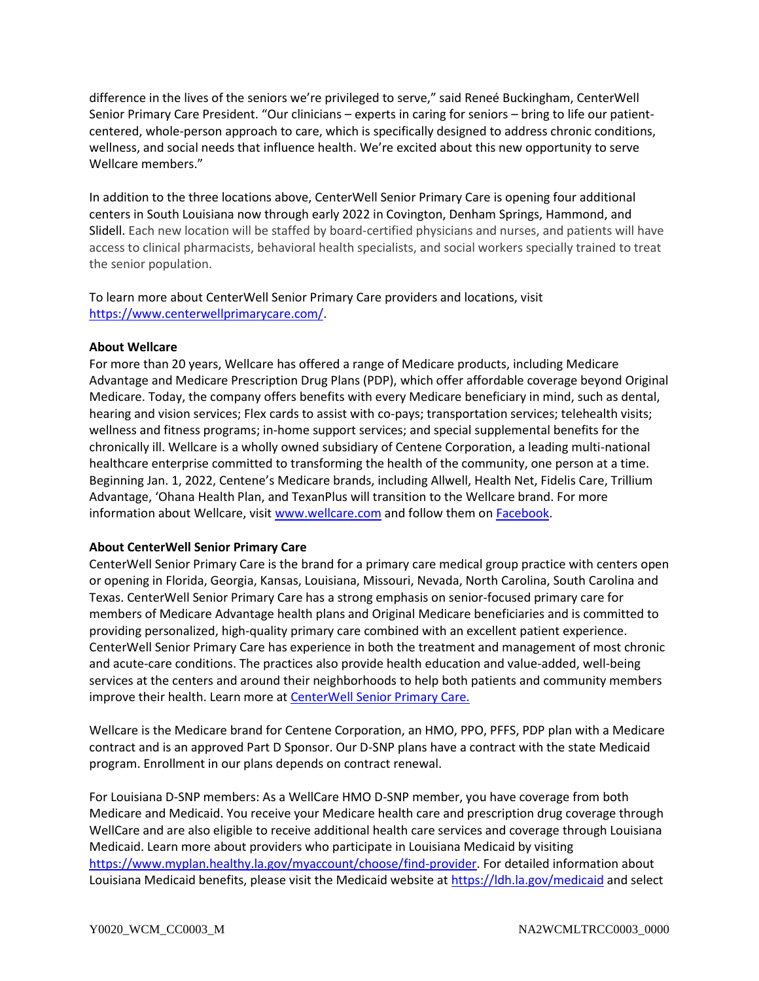difference in the lives of the seniors we're privileged to serve," said Reneé Buckingham, CenterWell Senior Primary Care President. "Our clinicians – experts in caring for seniors – bring to life our patientcentered, whole-person approach to care, which is specifically designed to address chronic conditions, wellness, and social needs that influence health. We're excited about this new opportunity to serve Wellcare members."

In addition to the three locations above, CenterWell Senior Primary Care is opening four additional centers in South Louisiana now through early 2022 in Covington, Denham Springs, Hammond, and Slidell. Each new location will be staffed by board-certified physicians and nurses, and patients will have access to clinical pharmacists, behavioral health specialists, and social workers specially trained to treat the senior population.

To learn more about CenterWell Senior Primary Care providers and locations, visit [https://www.centerwellprimarycare.com/.](https://www.centerwellprimarycare.com/)

# **About Wellcare**

For more than 20 years, Wellcare has offered a range of Medicare products, including Medicare Advantage and Medicare Prescription Drug Plans (PDP), which offer affordable coverage beyond Original Medicare. Today, the company offers benefits with every Medicare beneficiary in mind, such as dental, hearing and vision services; Flex cards to assist with co-pays; transportation services; telehealth visits; wellness and fitness programs; in-home support services; and special supplemental benefits for the chronically ill. Wellcare is a wholly owned subsidiary of Centene Corporation, a leading multi-national healthcare enterprise committed to transforming the health of the community, one person at a time. Beginning Jan. 1, 2022, Centene's Medicare brands, including Allwell, Health Net, Fidelis Care, Trillium Advantage, 'Ohana Health Plan, and TexanPlus will transition to the Wellcare brand. For more information about Wellcare, visi[t www.wellcare.com](http://www.wellcare.com/) and follow them on [Facebook.](https://www.facebook.com/WellcareMedicare)

# **About CenterWell Senior Primary Care**

CenterWell Senior Primary Care is the brand for a primary care medical group practice with centers open or opening in Florida, Georgia, Kansas, Louisiana, Missouri, Nevada, North Carolina, South Carolina and Texas. CenterWell Senior Primary Care has a strong emphasis on senior-focused primary care for members of Medicare Advantage health plans and Original Medicare beneficiaries and is committed to providing personalized, high-quality primary care combined with an excellent patient experience. CenterWell Senior Primary Care has experience in both the treatment and management of most chronic and acute-care conditions. The practices also provide health education and value-added, well-being services at the centers and around their neighborhoods to help both patients and community members improve their health. Learn more at **CenterWell Senior Primary Care.** 

Wellcare is the Medicare brand for Centene Corporation, an HMO, PPO, PFFS, PDP plan with a Medicare contract and is an approved Part D Sponsor. Our D-SNP plans have a contract with the state Medicaid program. Enrollment in our plans depends on contract renewal.

For Louisiana D-SNP members: As a WellCare HMO D-SNP member, you have coverage from both Medicare and Medicaid. You receive your Medicare health care and prescription drug coverage through WellCare and are also eligible to receive additional health care services and coverage through Louisiana Medicaid. Learn more about providers who participate in Louisiana Medicaid by visiting [https://www.myplan.healthy.la.gov/myaccount/choose/find-provider.](https://www.myplan.healthy.la.gov/myaccount/choose/find-provider) For detailed information about Louisiana Medicaid benefits, please visit the Medicaid website at<https://ldh.la.gov/medicaid> and select